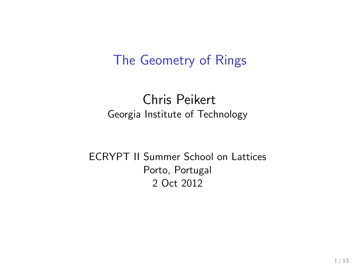#### The Geometry of Rings

#### Chris Peikert Georgia Institute of Technology

#### ECRYPT II Summer School on Lattices Porto, Portugal 2 Oct 2012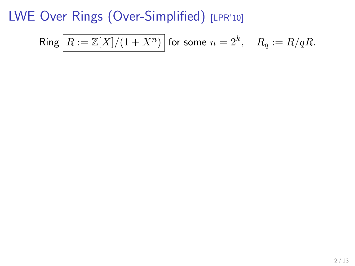$$
\mathsf{Ring}\left[R:=\mathbb{Z}[X]/(1+X^n)\right]\text{ for some }n=2^k,\quad R_q:=R/qR.
$$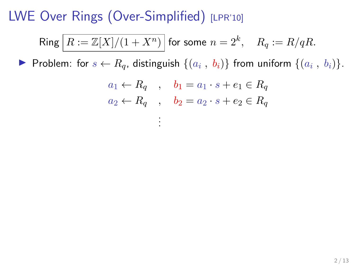$$
\mathsf{Ring}\left[R:=\mathbb{Z}[X]/(1+X^n)\right]\text{for some }n=2^k,\quad R_q:=R/qR.
$$

▶ Problem: for  $s \leftarrow R_q$ , distinguish  $\{(a_i, b_i)\}\)$  from uniform  $\{(a_i, b_i)\}\$ .

$$
a_1 \leftarrow R_q \quad , \quad b_1 = a_1 \cdot s + e_1 \in R_q
$$
  

$$
a_2 \leftarrow R_q \quad , \quad b_2 = a_2 \cdot s + e_2 \in R_q
$$
  

$$
\vdots
$$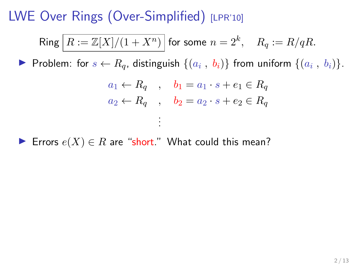$$
\mathsf{Ring}\left[R:=\mathbb{Z}[X]/(1+X^n)\right]\text{ for some }n=2^k,\quad R_q:=R/qR.
$$

▶ Problem: for  $s \leftarrow R_q$ , distinguish  $\{(a_i, b_i)\}\)$  from uniform  $\{(a_i, b_i)\}\$ .

$$
a_1 \leftarrow R_q \quad , \quad b_1 = a_1 \cdot s + e_1 \in R_q
$$
  

$$
a_2 \leftarrow R_q \quad , \quad b_2 = a_2 \cdot s + e_2 \in R_q
$$
  

$$
\vdots
$$

Errors  $e(X) \in R$  are "short." What could this mean?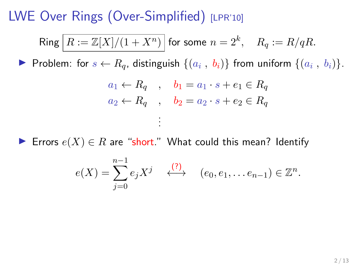$$
\mathsf{Ring}\left[R:=\mathbb{Z}[X]/(1+X^n)\right]\text{for some }n=2^k,\quad R_q:=R/qR.
$$

▶ Problem: for  $s \leftarrow R_q$ , distinguish  $\{(a_i, b_i)\}\)$  from uniform  $\{(a_i, b_i)\}\$ .

$$
a_1 \leftarrow R_q \quad , \quad b_1 = a_1 \cdot s + e_1 \in R_q
$$
  

$$
a_2 \leftarrow R_q \quad , \quad b_2 = a_2 \cdot s + e_2 \in R_q
$$
  

$$
\vdots
$$

► Errors  $e(X) \in R$  are "short." What could this mean? Identify

$$
e(X) = \sum_{j=0}^{n-1} e_j X^j \quad \stackrel{(?)}{\longleftrightarrow} \quad (e_0, e_1, \dots e_{n-1}) \in \mathbb{Z}^n.
$$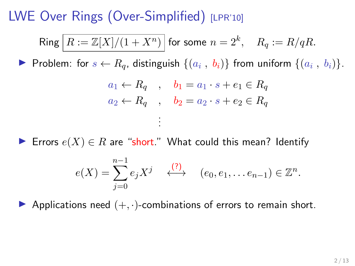$$
\mathsf{Ring}\left[R:=\mathbb{Z}[X]/(1+X^n)\right]\text{for some }n=2^k,\quad R_q:=R/qR.
$$

▶ Problem: for  $s \leftarrow R_q$ , distinguish  $\{(a_i, b_i)\}\)$  from uniform  $\{(a_i, b_i)\}\$ .

$$
a_1 \leftarrow R_q \quad , \quad b_1 = a_1 \cdot s + e_1 \in R_q
$$
  

$$
a_2 \leftarrow R_q \quad , \quad b_2 = a_2 \cdot s + e_2 \in R_q
$$
  

$$
\vdots
$$

► Errors  $e(X) \in R$  are "short." What could this mean? Identify

$$
e(X) = \sum_{j=0}^{n-1} e_j X^j \quad \stackrel{(?)}{\longleftrightarrow} \quad (e_0, e_1, \dots e_{n-1}) \in \mathbb{Z}^n.
$$

Applications need  $(+, \cdot)$ -combinations of errors to remain short.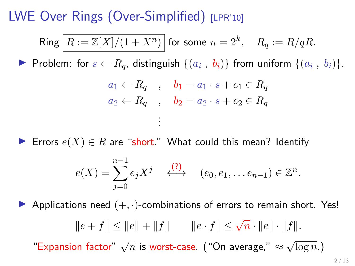$$
\mathsf{Ring}\left[R:={\mathbb Z}[X]/(1+X^n)\right]\text{for some }n=2^k,\quad R_q:=R/qR.
$$

▶ Problem: for  $s \leftarrow R_q$ , distinguish  $\{(a_i, b_i)\}\)$  from uniform  $\{(a_i, b_i)\}\$ .

$$
a_1 \leftarrow R_q \quad , \quad b_1 = a_1 \cdot s + e_1 \in R_q
$$
  

$$
a_2 \leftarrow R_q \quad , \quad b_2 = a_2 \cdot s + e_2 \in R_q
$$
  

$$
\vdots
$$

► Errors  $e(X) \in R$  are "short." What could this mean? Identify

$$
e(X) = \sum_{j=0}^{n-1} e_j X^j \quad \stackrel{(?)}{\longleftrightarrow} \quad (e_0, e_1, \dots e_{n-1}) \in \mathbb{Z}^n.
$$

Applications need  $(+, \cdot)$ -combinations of errors to remain short. Yes!

$$
||e+f|| \le ||e|| + ||f||
$$
  $||e \cdot f|| \le \sqrt{n} \cdot ||e|| \cdot ||f||.$ 

"Expansion factor"  $\sqrt{n}$  is worst-case. ("On average,"  $\approx$ √  $\overline{\log n}$ .)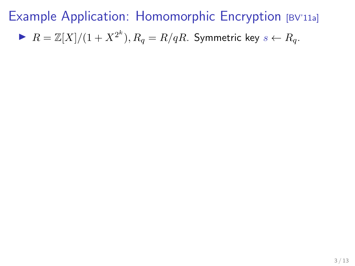$\blacktriangleright$   $R = \mathbb{Z}[X]/(1+X^{2^k}), R_q = R/qR$ . Symmetric key  $s \leftarrow R_q$ .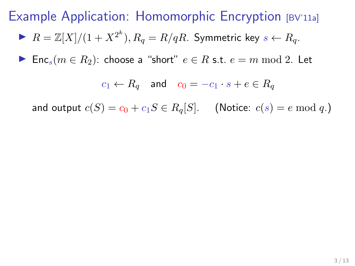$$
\blacktriangleright R = \mathbb{Z}[X]/(1 + X^{2^k}), R_q = R/qR.
$$
 Symmetric key  $s \leftarrow R_q$ .

► Enc<sub>s</sub> $(m \in R_2)$ : choose a "short"  $e \in R$  s.t.  $e = m \bmod 2$ . Let

 $c_1 \leftarrow R_q$  and  $c_0 = -c_1 \cdot s + e \in R_q$ 

and output  $c(S) = c_0 + c_1S \in R_q[S]$ . (Notice:  $c(s) = e \mod q$ .)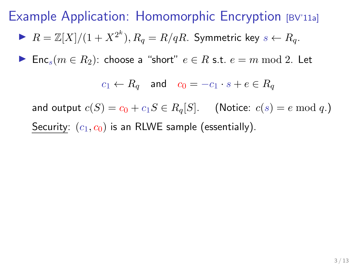$\blacktriangleright$   $R = \mathbb{Z}[X]/(1+X^{2^k}), R_q = R/qR$ . Symmetric key  $s \leftarrow R_q$ .

► Enc<sub>s</sub> $(m \in R_2)$ : choose a "short"  $e \in R$  s.t.  $e = m \mod 2$ . Let

$$
c_1 \leftarrow R_q \quad \text{and} \quad c_0 = -c_1 \cdot s + e \in R_q
$$

and output  $c(S) = c_0 + c_1S \in R_q[S]$ . (Notice:  $c(s) = e \mod q$ .) Security:  $(c_1, c_0)$  is an RLWE sample (essentially).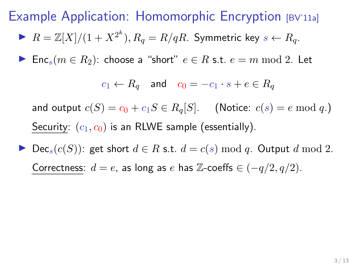$\blacktriangleright$   $R = \mathbb{Z}[X]/(1+X^{2^k}), R_q = R/qR$ . Symmetric key  $s \leftarrow R_q$ .

► Enc<sub>s</sub> $(m \in R_2)$ : choose a "short"  $e \in R$  s.t.  $e = m \mod 2$ . Let

$$
c_1 \leftarrow R_q \quad \text{and} \quad c_0 = -c_1 \cdot s + e \in R_q
$$

and output  $c(S) = c_0 + c_1S \in R_q[S]$ . (Notice:  $c(s) = e \mod q$ .) Security:  $(c_1, c_0)$  is an RLWE sample (essentially).

▶ Dec<sub>s</sub>( $c(S)$ ): get short  $d \in R$  s.t.  $d = c(s) \mod q$ . Output d mod 2. Correctness:  $d = e$ , as long as e has Z-coeffs  $\in (-q/2, q/2)$ .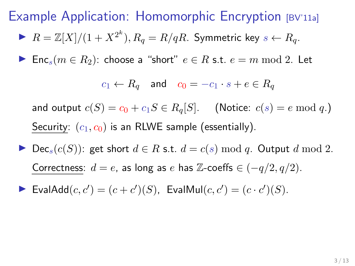$\blacktriangleright$   $R = \mathbb{Z}[X]/(1+X^{2^k}), R_q = R/qR$ . Symmetric key  $s \leftarrow R_q$ .

► Enc<sub>s</sub> $(m \in R_2)$ : choose a "short"  $e \in R$  s.t.  $e = m \mod 2$ . Let

$$
c_1 \leftarrow R_q \quad \text{and} \quad c_0 = -c_1 \cdot s + e \in R_q
$$

and output  $c(S) = c_0 + c_1S \in R_q[S]$ . (Notice:  $c(s) = e \mod q$ .) Security:  $(c_1, c_0)$  is an RLWE sample (essentially).

- ▶ Dec<sub>s</sub>( $c(S)$ ): get short  $d \in R$  s.t.  $d = c(s) \mod q$ . Output d mod 2. Correctness:  $d = e$ , as long as e has Z-coeffs  $\in (-q/2, q/2)$ .
- $\blacktriangleright$  EvalAdd $(c, c') = (c + c')(S)$ , EvalMul $(c, c') = (c \cdot c')(S)$ .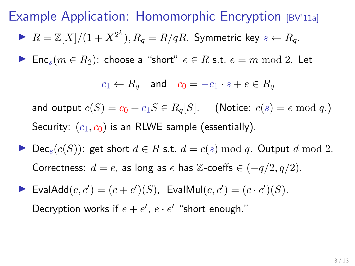$\blacktriangleright$   $R = \mathbb{Z}[X]/(1+X^{2^k}), R_q = R/qR$ . Symmetric key  $s \leftarrow R_q$ .

► Enc<sub>s</sub> $(m \in R_2)$ : choose a "short"  $e \in R$  s.t.  $e = m \mod 2$ . Let

$$
c_1 \leftarrow R_q \quad \text{and} \quad c_0 = -c_1 \cdot s + e \in R_q
$$

and output  $c(S) = c_0 + c_1S \in R_q[S]$ . (Notice:  $c(s) = e \mod q$ .) Security:  $(c_1, c_0)$  is an RLWE sample (essentially).

- ▶ Dec<sub>s</sub>( $c(S)$ ): get short  $d \in R$  s.t.  $d = c(s) \mod q$ . Output d mod 2. Correctness:  $d = e$ , as long as e has Z-coeffs  $\in (-q/2, q/2)$ .
- $\blacktriangleright$  EvalAdd $(c, c') = (c + c')(S)$ , EvalMul $(c, c') = (c \cdot c')(S)$ . Decryption works if  $e + e'$ ,  $e \cdot e'$  "short enough."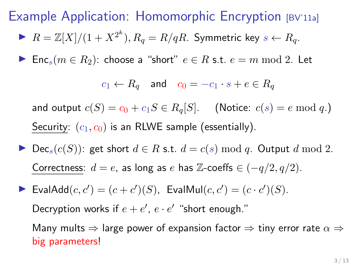$\blacktriangleright$   $R = \mathbb{Z}[X]/(1+X^{2^k}), R_q = R/qR$ . Symmetric key  $s \leftarrow R_q$ .

► Enc<sub>s</sub> $(m \in R_2)$ : choose a "short"  $e \in R$  s.t.  $e = m \mod 2$ . Let

$$
c_1 \leftarrow R_q \quad \text{and} \quad c_0 = -c_1 \cdot s + e \in R_q
$$

and output  $c(S) = c_0 + c_1S \in R_q[S]$ . (Notice:  $c(s) = e \mod q$ .) Security:  $(c_1, c_0)$  is an RLWE sample (essentially).

- ▶ Dec<sub>s</sub> $(c(S))$ : get short  $d \in R$  s.t.  $d = c(s) \bmod q$ . Output d mod 2. Correctness:  $d = e$ , as long as e has Z-coeffs  $\in (-q/2, q/2)$ .
- $\blacktriangleright$  EvalAdd $(c, c') = (c + c')(S)$ , EvalMul $(c, c') = (c \cdot c')(S)$ . Decryption works if  $e + e'$ ,  $e \cdot e'$  "short enough."

Many mults  $\Rightarrow$  large power of expansion factor  $\Rightarrow$  tiny error rate  $\alpha \Rightarrow$ big parameters!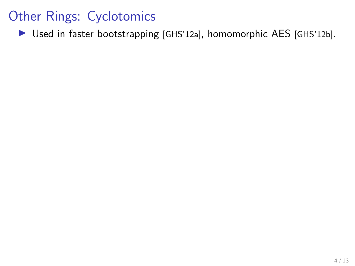$\triangleright$  Used in faster bootstrapping [GHS'12a], homomorphic AES [GHS'12b].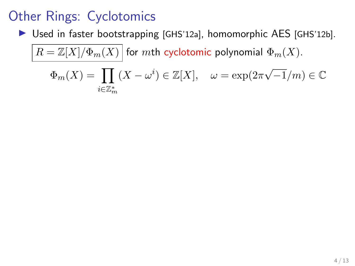I Used in faster bootstrapping [GHS'12a], homomorphic AES [GHS'12b].

$$
\overline{R=\mathbb{Z}[X]/\Phi_m(X)} \text{ for } m\text{th cyclotomic polynomial } \Phi_m(X).
$$
  

$$
\Phi_m(X)=\prod_{i\in\mathbb{Z}_m^*} (X-\omega^i)\in\mathbb{Z}[X], \quad \omega=\exp(2\pi\sqrt{-1}/m)\in\mathbb{C}
$$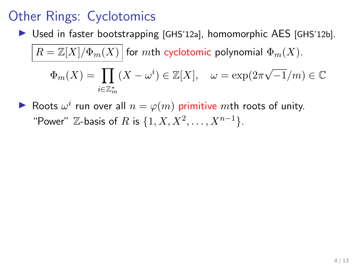$\triangleright$  Used in faster bootstrapping [GHS'12a], homomorphic AES [GHS'12b].

$$
\overline{R=\mathbb{Z}[X]/\Phi_m(X)} \text{ for } m\text{th cyclotomic polynomial } \Phi_m(X).
$$
  

$$
\Phi_m(X)=\prod_{i\in\mathbb{Z}_m^*} (X-\omega^i)\in\mathbb{Z}[X], \quad \omega=\exp(2\pi\sqrt{-1}/m)\in\mathbb{C}
$$

Roots  $\omega^i$  run over all  $n = \varphi(m)$  primitive mth roots of unity. "Power"  $\mathbb{Z}$ -basis of R is  $\{1, X, X^2, ..., X^{n-1}\}.$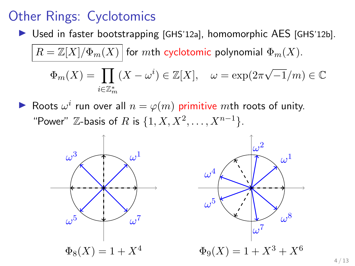$\triangleright$  Used in faster bootstrapping [GHS'12a], homomorphic AES [GHS'12b].

$$
\overline{R=\mathbb{Z}[X]/\Phi_m(X)} \text{ for } m\text{th cyclotomic polynomial } \Phi_m(X).
$$
  

$$
\Phi_m(X)=\prod_{i\in\mathbb{Z}_m^*}(X-\omega^i)\in\mathbb{Z}[X], \quad \omega=\exp(2\pi\sqrt{-1}/m)\in\mathbb{C}.
$$

Roots  $\omega^i$  run over all  $n = \varphi(m)$  primitive mth roots of unity. "Power"  $\mathbb{Z}$ -basis of R is  $\{1, X, X^2, ..., X^{n-1}\}.$ 

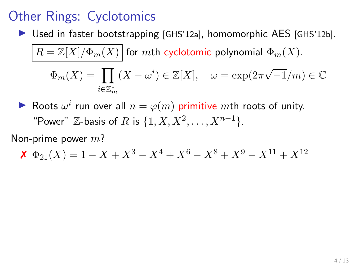$\triangleright$  Used in faster bootstrapping [GHS'12a], homomorphic AES [GHS'12b].

$$
\overline{R=\mathbb{Z}[X]/\Phi_m(X)} \text{ for } m\text{th cyclotomic polynomial } \Phi_m(X).
$$
  

$$
\Phi_m(X)=\prod_{i\in\mathbb{Z}_m^*} (X-\omega^i)\in\mathbb{Z}[X], \quad \omega=\exp(2\pi\sqrt{-1}/m)\in\mathbb{C}
$$

Roots  $\omega^i$  run over all  $n = \varphi(m)$  primitive mth roots of unity. "Power"  $\mathbb{Z}$ -basis of R is  $\{1, X, X^2, ..., X^{n-1}\}.$ 

Non-prime power  $m$ ?

$$
\mathbf{X} \ \Phi_{21}(X) = 1 - X + X^3 - X^4 + X^6 - X^8 + X^9 - X^{11} + X^{12}
$$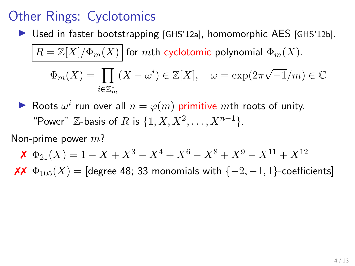$\triangleright$  Used in faster bootstrapping [GHS'12a], homomorphic AES [GHS'12b].

$$
\overline{R=\mathbb{Z}[X]/\Phi_m(X)} \text{ for } m\text{th cyclotomic polynomial } \Phi_m(X).
$$
  

$$
\Phi_m(X)=\prod_{i\in\mathbb{Z}_m^*} (X-\omega^i)\in\mathbb{Z}[X], \quad \omega=\exp(2\pi\sqrt{-1}/m)\in\mathbb{C}
$$

Roots  $\omega^i$  run over all  $n = \varphi(m)$  primitive mth roots of unity. "Power"  $\mathbb{Z}$ -basis of R is  $\{1, X, X^2, ..., X^{n-1}\}.$ 

Non-prime power  $m$ ?

$$
\mathbf{X} \ \Phi_{21}(X) = 1 - X + X^3 - X^4 + X^6 - X^8 + X^9 - X^{11} + X^{12}
$$

 $\overline{XX}$   $\Phi_{105}(X)$  = [degree 48; 33 monomials with {-2, -1, 1}-coefficients]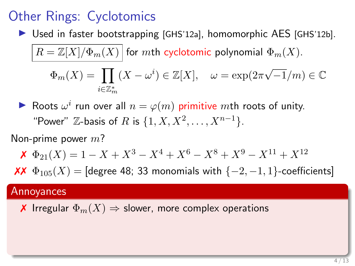$\triangleright$  Used in faster bootstrapping [GHS'12a], homomorphic AES [GHS'12b].

$$
\overline{R=\mathbb{Z}[X]/\Phi_m(X)} \text{ for } m\text{th cyclotomic polynomial } \Phi_m(X).
$$
  

$$
\Phi_m(X)=\prod_{i\in\mathbb{Z}_m^*} (X-\omega^i)\in\mathbb{Z}[X], \quad \omega=\exp(2\pi\sqrt{-1}/m)\in\mathbb{C}.
$$

Roots  $\omega^i$  run over all  $n = \varphi(m)$  primitive mth roots of unity. "Power"  $\mathbb{Z}$ -basis of R is  $\{1, X, X^2, ..., X^{n-1}\}.$ 

Non-prime power  $m$ ?

$$
\mathbf{X} \ \Phi_{21}(X) = 1 - X + X^3 - X^4 + X^6 - X^8 + X^9 - X^{11} + X^{12}
$$

 $\mathsf{XX}$   $\Phi_{105}(X) =$  [degree 48; 33 monomials with {−2, −1, 1}-coefficients]

#### Annoyances

**★** Irregular  $\Phi_m(X)$  ⇒ slower, more complex operations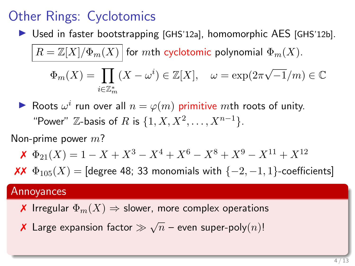$\triangleright$  Used in faster bootstrapping [GHS'12a], homomorphic AES [GHS'12b].

$$
\overline{R=\mathbb{Z}[X]/\Phi_m(X)} \text{ for } m\text{th cyclotomic polynomial } \Phi_m(X).
$$
  

$$
\Phi_m(X)=\prod_{i\in\mathbb{Z}_m^*} (X-\omega^i)\in\mathbb{Z}[X], \quad \omega=\exp(2\pi\sqrt{-1}/m)\in\mathbb{C}.
$$

Roots  $\omega^i$  run over all  $n = \varphi(m)$  primitive mth roots of unity. "Power"  $\mathbb{Z}$ -basis of R is  $\{1, X, X^2, ..., X^{n-1}\}.$ 

Non-prime power  $m$ ?

$$
\mathbf{X} \ \Phi_{21}(X) = 1 - X + X^3 - X^4 + X^6 - X^8 + X^9 - X^{11} + X^{12}
$$

 $\mathsf{XX}$   $\Phi_{105}(X) =$  [degree 48; 33 monomials with {−2, −1, 1}-coefficients]

#### Annoyances

- **★** Irregular  $\Phi_m(X)$  ⇒ slower, more complex operations
- $\bar{\mathsf{x}}$  Large expansion factor  $\gg \sqrt{n}$  even super-poly $(n)!$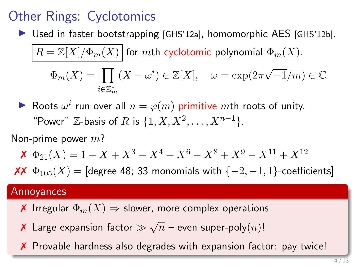$\triangleright$  Used in faster bootstrapping [GHS'12a], homomorphic AES [GHS'12b].

$$
\overline{R=\mathbb{Z}[X]/\Phi_m(X)} \text{ for } m\text{th cyclotomic polynomial } \Phi_m(X).
$$
  

$$
\Phi_m(X)=\prod_{i\in\mathbb{Z}_m^*} (X-\omega^i)\in\mathbb{Z}[X], \quad \omega=\exp(2\pi\sqrt{-1}/m)\in\mathbb{C}.
$$

Roots  $\omega^i$  run over all  $n = \varphi(m)$  primitive mth roots of unity. "Power"  $\mathbb{Z}$ -basis of R is  $\{1, X, X^2, ..., X^{n-1}\}.$ 

Non-prime power  $m$ ?

$$
\mathbf{X} \ \Phi_{21}(X) = 1 - X + X^3 - X^4 + X^6 - X^8 + X^9 - X^{11} + X^{12}
$$

 $\mathsf{XX}$   $\Phi_{105}(X) =$  [degree 48; 33 monomials with {−2, −1, 1}-coefficients]

#### Annoyances

- **★** Irregular  $\Phi_m(X)$  ⇒ slower, more complex operations
- $\bar{\mathsf{x}}$  Large expansion factor  $\gg \sqrt{n}$  even super-poly $(n)!$
- ✗ Provable hardness also degrades with expansion factor: pay twice!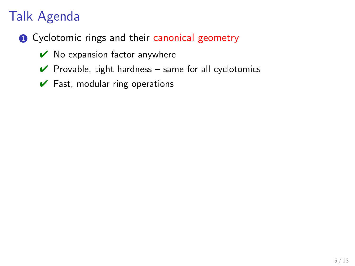- **1** Cyclotomic rings and their canonical geometry
	- $\vee$  No expansion factor anywhere
	- $\vee$  Provable, tight hardness same for all cyclotomics
	- $\checkmark$  Fast, modular ring operations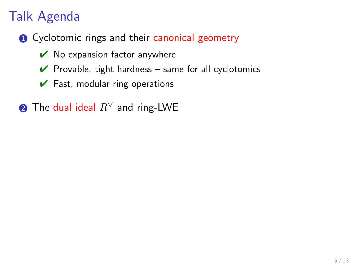- **1** Cyclotomic rings and their canonical geometry
	- $\vee$  No expansion factor anywhere
	- $\vee$  Provable, tight hardness same for all cyclotomics
	- $\vee$  Fast, modular ring operations
- **②** The dual ideal  $R^{\vee}$  and ring-LWE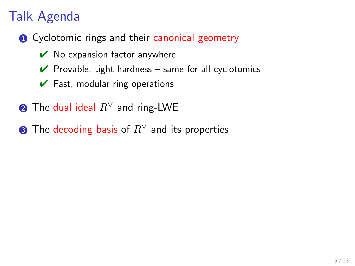- **1** Cyclotomic rings and their canonical geometry
	- $\vee$  No expansion factor anywhere
	- $\vee$  Provable, tight hardness same for all cyclotomics
	- $\vee$  Fast, modular ring operations
- **2** The dual ideal  $R^{\vee}$  and ring-LWE
- **3** The decoding basis of  $R^{\vee}$  and its properties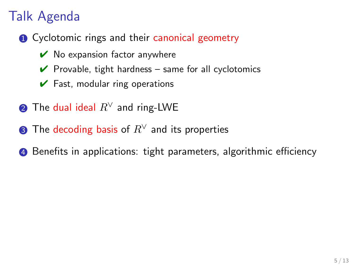- **1** Cyclotomic rings and their canonical geometry
	- $\vee$  No expansion factor anywhere
	- $\vee$  Provable, tight hardness same for all cyclotomics
	- $\vee$  Fast, modular ring operations
- **2** The dual ideal  $R^{\vee}$  and ring-LWE
- **3** The decoding basis of  $R^{\vee}$  and its properties
- **4** Benefits in applications: tight parameters, algorithmic efficiency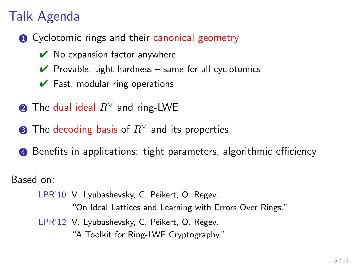- **1** Cyclotomic rings and their canonical geometry
	- $\vee$  No expansion factor anywhere
	- $\vee$  Provable, tight hardness same for all cyclotomics
	- $\vee$  Fast, modular ring operations
- **2** The dual ideal  $R^{\vee}$  and ring-LWE
- **3** The decoding basis of  $R^{\vee}$  and its properties
- **4** Benefits in applications: tight parameters, algorithmic efficiency

Based on:

- LPR'10 V. Lyubashevsky, C. Peikert, O. Regev. "On Ideal Lattices and Learning with Errors Over Rings."
- LPR'12 V. Lyubashevsky, C. Peikert, O. Regev. "A Toolkit for Ring-LWE Cryptography."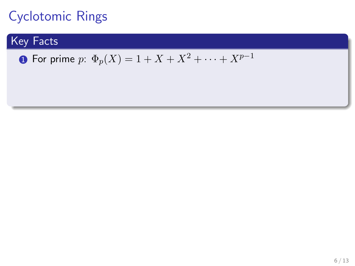#### Key Facts

• For prime 
$$
p: \Phi_p(X) = 1 + X + X^2 + \cdots + X^{p-1}
$$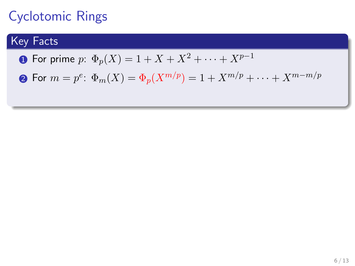#### Key Facts

**1** For prime p:  $\Phi_p(X) = 1 + X + X^2 + \cdots + X^{p-1}$ 

 ${\bf 2}$  For  $m=p^e\colon \Phi_m(X)=\Phi_p(X^{m/p})=1+X^{m/p}+\cdots+X^{m-m/p}$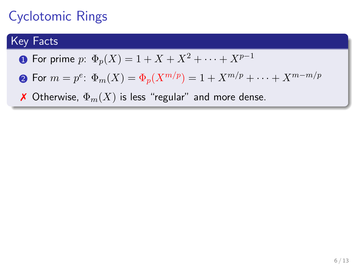#### Key Facts

- **1** For prime p:  $\Phi_p(X) = 1 + X + X^2 + \cdots + X^{p-1}$
- ${\bf 2}$  For  $m=p^e\colon \Phi_m(X)=\Phi_p(X^{m/p})=1+X^{m/p}+\cdots+X^{m-m/p}$
- **X** Otherwise,  $\Phi_m(X)$  is less "regular" and more dense.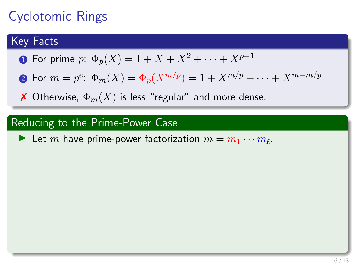#### Key Facts

- **1** For prime p:  $\Phi_p(X) = 1 + X + X^2 + \cdots + X^{p-1}$
- ${\bf 2}$  For  $m=p^e\colon \Phi_m(X)=\Phi_p(X^{m/p})=1+X^{m/p}+\cdots+X^{m-m/p}$
- **X** Otherwise,  $\Phi_m(X)$  is less "regular" and more dense.

#### Reducing to the Prime-Power Case

External have prime-power factorization  $m = m_1 \cdots m_\ell$ .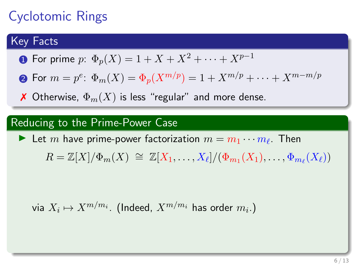#### Key Facts

**1** For prime p:  $\Phi_p(X) = 1 + X + X^2 + \cdots + X^{p-1}$ 

 ${\bf 2}$  For  $m=p^e\colon \Phi_m(X)=\Phi_p(X^{m/p})=1+X^{m/p}+\cdots+X^{m-m/p}$ 

**X** Otherwise,  $\Phi_m(X)$  is less "regular" and more dense.

#### Reducing to the Prime-Power Case

External have prime-power factorization  $m = m_1 \cdots m_\ell$ . Then

 $R = \mathbb{Z}[X]/\Phi_m(X) \cong \mathbb{Z}[X_1,\ldots,X_\ell]/(\Phi_{m_1}(X_1),\ldots,\Phi_{m_\ell}(X_\ell))$ 

via  $X_i \mapsto X^{m/m_i}.$  (Indeed,  $X^{m/m_i}$  has order  $m_i.$ )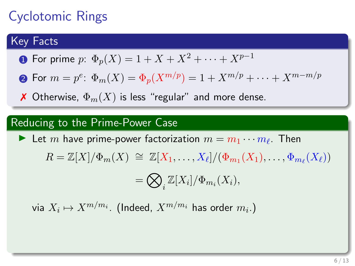#### Key Facts

**1** For prime p:  $\Phi_p(X) = 1 + X + X^2 + \cdots + X^{p-1}$ 

 ${\bf 2}$  For  $m=p^e\colon \Phi_m(X)=\Phi_p(X^{m/p})=1+X^{m/p}+\cdots+X^{m-m/p}$ 

**X** Otherwise,  $\Phi_m(X)$  is less "regular" and more dense.

#### Reducing to the Prime-Power Case

External have prime-power factorization  $m = m_1 \cdots m_\ell$ . Then  $R = \mathbb{Z}[X]/\Phi_m(X) \cong \mathbb{Z}[X_1,\ldots,X_\ell]/(\Phi_{m_1}(X_1),\ldots,\Phi_{m_\ell}(X_\ell))$  $=\bigotimes$  $\int_i \mathbb{Z}[X_i] / \Phi_{m_i}(X_i),$ 

via  $X_i \mapsto X^{m/m_i}.$  (Indeed,  $X^{m/m_i}$  has order  $m_i.$ )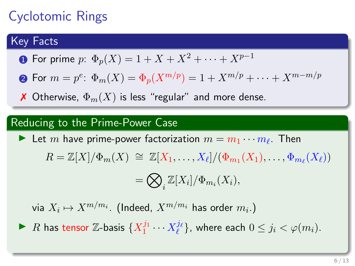#### Key Facts

**1** For prime p:  $\Phi_p(X) = 1 + X + X^2 + \cdots + X^{p-1}$ 

 ${\bf 2}$  For  $m=p^e\colon \Phi_m(X)=\Phi_p(X^{m/p})=1+X^{m/p}+\cdots+X^{m-m/p}$ 

**X** Otherwise,  $\Phi_m(X)$  is less "regular" and more dense.

#### Reducing to the Prime-Power Case

External have prime-power factorization  $m = m_1 \cdots m_\ell$ . Then  $R = \mathbb{Z}[X]/\Phi_m(X) \cong \mathbb{Z}[X_1,\ldots,X_\ell]/(\Phi_{m_1}(X_1),\ldots,\Phi_{m_\ell}(X_\ell))$  $=\bigotimes$  $\int_i \mathbb{Z}[X_i] / \Phi_{m_i}(X_i),$ 

via  $X_i \mapsto X^{m/m_i}.$  (Indeed,  $X^{m/m_i}$  has order  $m_i.$ )

▶ R has tensor  $\mathbb{Z}$ -basis  $\{X_1^{j_1}\cdots X_\ell^{j_\ell}\}$ , where each  $0\leq j_i < \varphi(m_i).$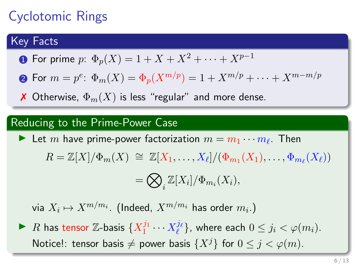#### Key Facts

**1** For prime p:  $\Phi_p(X) = 1 + X + X^2 + \cdots + X^{p-1}$ 

 ${\bf 2}$  For  $m=p^e\colon \Phi_m(X)=\Phi_p(X^{m/p})=1+X^{m/p}+\cdots+X^{m-m/p}$ 

**X** Otherwise,  $\Phi_m(X)$  is less "regular" and more dense.

#### Reducing to the Prime-Power Case

External have prime-power factorization  $m = m_1 \cdots m_\ell$ . Then  $R = \mathbb{Z}[X]/\Phi_m(X) \cong \mathbb{Z}[X_1,\ldots,X_\ell]/(\Phi_{m_1}(X_1),\ldots,\Phi_{m_\ell}(X_\ell))$  $=\bigotimes$  $\int_i \mathbb{Z}[X_i] / \Phi_{m_i}(X_i),$ 

via  $X_i \mapsto X^{m/m_i}.$  (Indeed,  $X^{m/m_i}$  has order  $m_i.$ )

▶ R has tensor  $\mathbb{Z}$ -basis  $\{X_1^{j_1}\cdots X_\ell^{j_\ell}\}$ , where each  $0\leq j_i < \varphi(m_i).$ Notice!: tensor basis  $\neq$  power basis  $\{X^j\}$  for  $0 \leq j < \varphi(m)$ .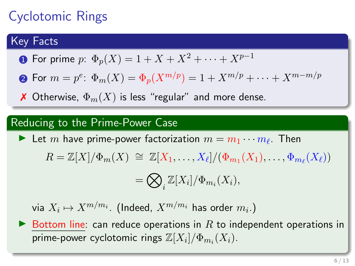# Cyclotomic Rings

### Key Facts

**1** For prime p:  $\Phi_p(X) = 1 + X + X^2 + \cdots + X^{p-1}$ 

 ${\bf 2}$  For  $m=p^e\colon \Phi_m(X)=\Phi_p(X^{m/p})=1+X^{m/p}+\cdots+X^{m-m/p}$ 

**X** Otherwise,  $\Phi_m(X)$  is less "regular" and more dense.

#### Reducing to the Prime-Power Case

External have prime-power factorization  $m = m_1 \cdots m_\ell$ . Then  $R = \mathbb{Z}[X]/\Phi_m(X) \cong \mathbb{Z}[X_1,\ldots,X_\ell]/(\Phi_{m_1}(X_1),\ldots,\Phi_{m_\ell}(X_\ell))$ 

$$
= \bigotimes_i \mathbb{Z}[X_i]/\Phi_{m_i}(X_i),
$$

via  $X_i \mapsto X^{m/m_i}.$  (Indeed,  $X^{m/m_i}$  has order  $m_i.$ )

 $\triangleright$  Bottom line: can reduce operations in R to independent operations in prime-power cyclotomic rings  $\mathbb{Z}[X_i]/\Phi_{m_i}(X_i).$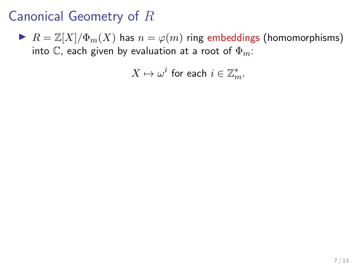$\blacktriangleright$   $R = \mathbb{Z}[X]/\Phi_m(X)$  has  $n = \varphi(m)$  ring embeddings (homomorphisms) into C, each given by evaluation at a root of  $\Phi_m$ :

 $X \mapsto \omega^i$  for each  $i \in \mathbb{Z}_m^*$ .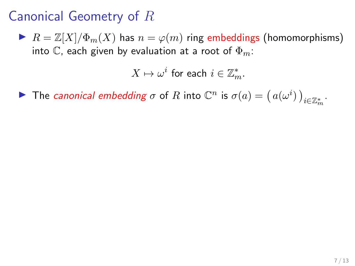$\blacktriangleright$   $R = \mathbb{Z}[X]/\Phi_m(X)$  has  $n = \varphi(m)$  ring embeddings (homomorphisms) into C, each given by evaluation at a root of  $\Phi_m$ :

 $X \mapsto \omega^i$  for each  $i \in \mathbb{Z}_m^*$ .

The canonical embedding  $\sigma$  of R into  $\mathbb{C}^n$  is  $\sigma(a) = (a(\omega^i))_{i \in \mathbb{Z}_m^*}$ .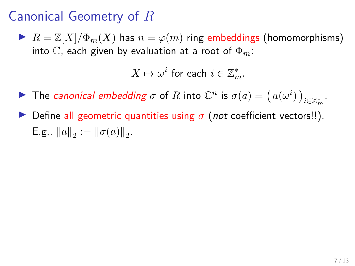$\blacktriangleright$   $R = \mathbb{Z}[X]/\Phi_m(X)$  has  $n = \varphi(m)$  ring embeddings (homomorphisms) into C, each given by evaluation at a root of  $\Phi_m$ :

 $X \mapsto \omega^i$  for each  $i \in \mathbb{Z}_m^*$ .

- The canonical embedding  $\sigma$  of R into  $\mathbb{C}^n$  is  $\sigma(a) = (a(\omega^i))_{i \in \mathbb{Z}_m^*}$ .
- Define all geometric quantities using  $\sigma$  (not coefficient vectors!!). E.g.,  $||a||_2 := ||\sigma(a)||_2$ .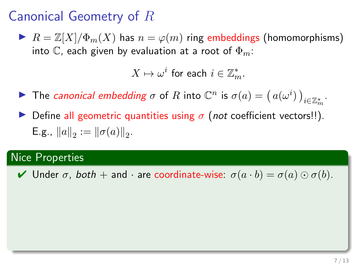$\blacktriangleright$   $R = \mathbb{Z}[X]/\Phi_m(X)$  has  $n = \varphi(m)$  ring embeddings (homomorphisms) into C, each given by evaluation at a root of  $\Phi_m$ :

 $X \mapsto \omega^i$  for each  $i \in \mathbb{Z}_m^*$ .

- The canonical embedding  $\sigma$  of R into  $\mathbb{C}^n$  is  $\sigma(a) = (a(\omega^i))_{i \in \mathbb{Z}_m^*}$ .
- Define all geometric quantities using  $\sigma$  (not coefficient vectors!!). E.g.,  $||a||_2 := ||\sigma(a)||_2$ .

### Nice Properties

 $\blacktriangleright$  Under  $\sigma$ , both  $+$  and  $\cdot$  are coordinate-wise:  $\sigma(a \cdot b) = \sigma(a) \odot \sigma(b)$ .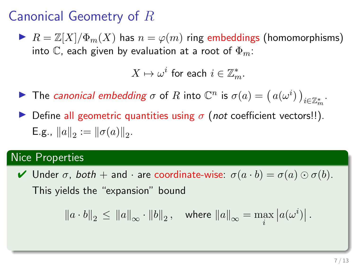$\blacktriangleright$   $R = \mathbb{Z}[X]/\Phi_m(X)$  has  $n = \varphi(m)$  ring embeddings (homomorphisms) into C, each given by evaluation at a root of  $\Phi_m$ :

 $X \mapsto \omega^i$  for each  $i \in \mathbb{Z}_m^*$ .

- The canonical embedding  $\sigma$  of R into  $\mathbb{C}^n$  is  $\sigma(a) = (a(\omega^i))_{i \in \mathbb{Z}_m^*}$ .
- Define all geometric quantities using  $\sigma$  (not coefficient vectors!!). E.g.,  $||a||_2 := ||\sigma(a)||_2$ .

### Nice Properties

 $\blacktriangleright$  Under  $\sigma$ , both  $+$  and  $\cdot$  are coordinate-wise:  $\sigma(a \cdot b) = \sigma(a) \odot \sigma(b)$ . This yields the "expansion" bound

$$
\left\|a \cdot b\right\|_2 \, \leq \, \left\|a\right\|_{\infty} \cdot \left\|b\right\|_2, \quad \text{where } \left\|a\right\|_{\infty} = \max_i \left|a(\omega^i)\right|.
$$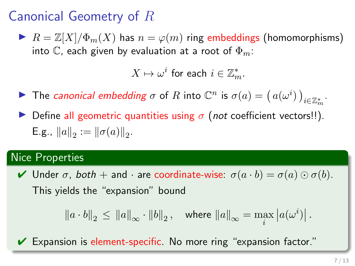$\blacktriangleright$   $R = \mathbb{Z}[X]/\Phi_m(X)$  has  $n = \varphi(m)$  ring embeddings (homomorphisms) into C, each given by evaluation at a root of  $\Phi_m$ :

 $X \mapsto \omega^i$  for each  $i \in \mathbb{Z}_m^*$ .

- The canonical embedding  $\sigma$  of R into  $\mathbb{C}^n$  is  $\sigma(a) = (a(\omega^i))_{i \in \mathbb{Z}_m^*}$ .
- Define all geometric quantities using  $\sigma$  (not coefficient vectors!!). E.g.,  $||a||_2 := ||\sigma(a)||_2$ .

### Nice Properties

 $\blacktriangleright$  Under  $\sigma$ , both  $+$  and  $\cdot$  are coordinate-wise:  $\sigma(a \cdot b) = \sigma(a) \odot \sigma(b)$ . This yields the "expansion" bound

$$
\left\|a\cdot b\right\|_2\,\leq\,\left\|a\right\|_{\infty}\cdot\left\|b\right\|_2,\quad\text{where $\left\|a\right\|_{\infty}=\max\limits_{i}\left|a(\omega^i)\right|$.}
$$

 $\vee$  Expansion is element-specific. No more ring "expansion factor."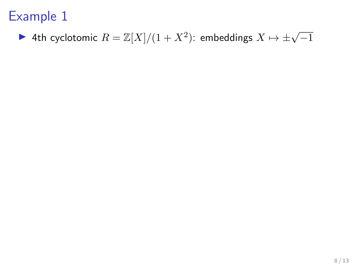▶ 4th cyclotomic  $R = \mathbb{Z}[X]/(1 + X^2)$ : embeddings  $X \mapsto \pm \sqrt{-1}$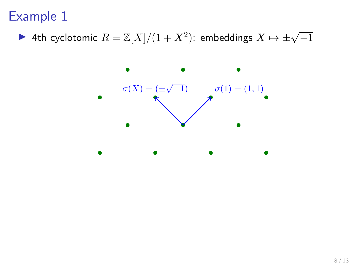▶ 4th cyclotomic  $R = \mathbb{Z}[X]/(1 + X^2)$ : embeddings  $X \mapsto \pm \sqrt{-1}$ 

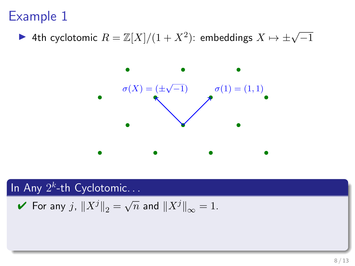▶ 4th cyclotomic  $R = \mathbb{Z}[X]/(1 + X^2)$ : embeddings  $X \mapsto \pm \sqrt{-1}$ 



In Any  $2^k$ -th Cyclotomic...

For any 
$$
j
$$
,  $||X^j||_2 = \sqrt{n}$  and  $||X^j||_{\infty} = 1$ .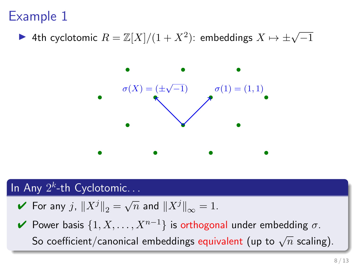▶ 4th cyclotomic  $R = \mathbb{Z}[X]/(1 + X^2)$ : embeddings  $X \mapsto \pm \sqrt{-1}$ 



### In Any  $2^k$ -th Cyclotomic...

- $\blacktriangleright$  For any  $j$ ,  $\|X^j\|_2 = \sqrt{n}$  and  $\|X^j\|_{\infty} = 1$ .
- $\blacktriangleright$  Power basis  $\{1, X, \ldots, X^{n-1}\}$  is orthogonal under embedding σ. So coefficient/canonical embeddings equivalent (up to  $\sqrt{n}$  scaling).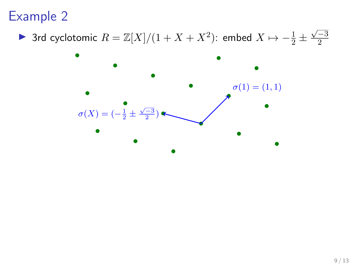▶ 3rd cyclotomic  $R = \mathbb{Z}[X]/(1 + X + X^2)$ : embed  $X \mapsto -\frac{1}{2} \pm \frac{1}{2}$  $\sqrt{-3}$ 2

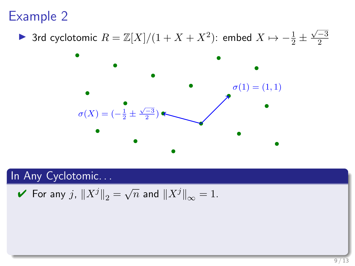▶ 3rd cyclotomic  $R = \mathbb{Z}[X]/(1 + X + X^2)$ : embed  $X \mapsto -\frac{1}{2} \pm \frac{1}{2}$  $\sqrt{-3}$ 2



### In Any Cyclotomic...

For any 
$$
j
$$
,  $||X^j||_2 = \sqrt{n}$  and  $||X^j||_{\infty} = 1$ .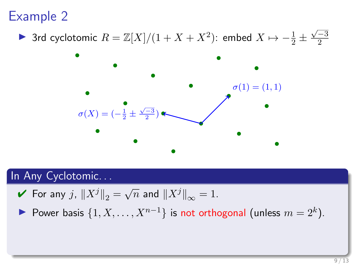▶ 3rd cyclotomic  $R = \mathbb{Z}[X]/(1 + X + X^2)$ : embed  $X \mapsto -\frac{1}{2} \pm \frac{1}{2}$  $\sqrt{-3}$ 2



### In Any Cyclotomic. . .

- $\blacktriangleright$  For any  $j$ ,  $\|X^j\|_2 = \sqrt{n}$  and  $\|X^j\|_\infty = 1$ .
- Power basis  $\{1, X, \ldots, X^{n-1}\}$  is not orthogonal (unless  $m = 2^k$ ).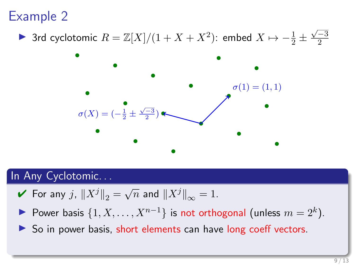▶ 3rd cyclotomic  $R = \mathbb{Z}[X]/(1 + X + X^2)$ : embed  $X \mapsto -\frac{1}{2} \pm \frac{1}{2}$  $\sqrt{-3}$ 2



### In Any Cyclotomic. . .

- $\blacktriangleright$  For any  $j$ ,  $\|X^j\|_2 = \sqrt{n}$  and  $\|X^j\|_\infty = 1$ .
- Power basis  $\{1, X, \ldots, X^{n-1}\}$  is not orthogonal (unless  $m = 2^k$ ).
- $\triangleright$  So in power basis, short elements can have long coeff vectors.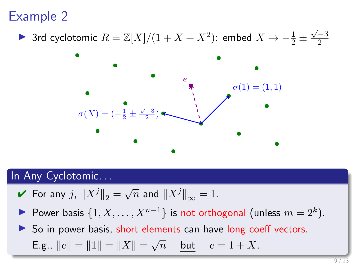▶ 3rd cyclotomic  $R = \mathbb{Z}[X]/(1 + X + X^2)$ : embed  $X \mapsto -\frac{1}{2} \pm \frac{1}{2}$  $\sqrt{-3}$ 2



#### In Any Cyclotomic. . .

- $\blacktriangleright$  For any  $j$ ,  $\|X^j\|_2 = \sqrt{n}$  and  $\|X^j\|_\infty = 1$ .
- Power basis  $\{1, X, \ldots, X^{n-1}\}$  is not orthogonal (unless  $m = 2^k$ ).

So in power basis, short elements can have long coeff vectors.

**E.g.,** 
$$
||e|| = ||1|| = ||X|| = \sqrt{n}
$$
 but  $e = 1 + X$ .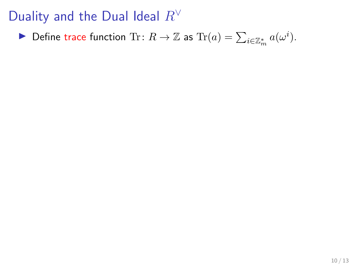Define trace function Tr:  $R \to \mathbb{Z}$  as  $\text{Tr}(a) = \sum_{i \in \mathbb{Z}_m^*} a(\omega^i)$ .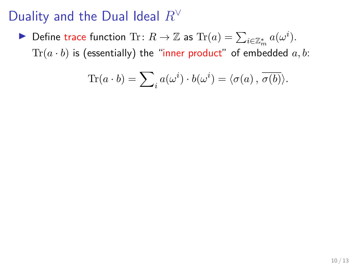Define trace function Tr:  $R \to \mathbb{Z}$  as  $\text{Tr}(a) = \sum_{i \in \mathbb{Z}_m^*} a(\omega^i)$ .  $Tr(a \cdot b)$  is (essentially) the "inner product" of embedded a, b:

$$
\text{Tr}(a \cdot b) = \sum_{i} a(\omega^{i}) \cdot b(\omega^{i}) = \langle \sigma(a), \overline{\sigma(b)} \rangle.
$$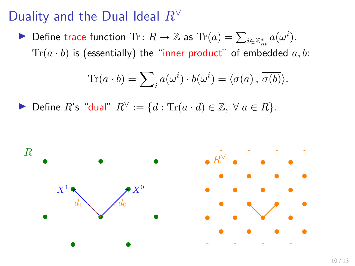Define trace function Tr:  $R \to \mathbb{Z}$  as  $\text{Tr}(a) = \sum_{i \in \mathbb{Z}_m^*} a(\omega^i)$ .  $Tr(a \cdot b)$  is (essentially) the "inner product" of embedded a, b:

$$
\text{Tr}(a \cdot b) = \sum_{i} a(\omega^{i}) \cdot b(\omega^{i}) = \langle \sigma(a), \overline{\sigma(b)} \rangle.
$$

Define R's "dual"  $R^{\vee} := \{d : \text{Tr}(a \cdot d) \in \mathbb{Z}, \forall a \in R\}.$ 

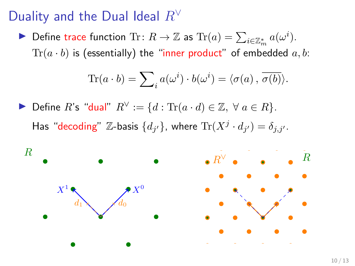Define trace function Tr:  $R \to \mathbb{Z}$  as  $\text{Tr}(a) = \sum_{i \in \mathbb{Z}_m^*} a(\omega^i)$ .  $Tr(a \cdot b)$  is (essentially) the "inner product" of embedded a, b:

$$
\text{Tr}(a \cdot b) = \sum_{i} a(\omega^{i}) \cdot b(\omega^{i}) = \langle \sigma(a), \overline{\sigma(b)} \rangle.
$$

Define R's "dual"  $R^{\vee} := \{d : \text{Tr}(a \cdot d) \in \mathbb{Z}, \forall a \in R\}.$ Has "decoding"  $\mathbb{Z}$ -basis  $\{d_{j'}\}$ , where  $\text{Tr}(X^j \cdot d_{j'}) = \delta_{j,j'}.$ 

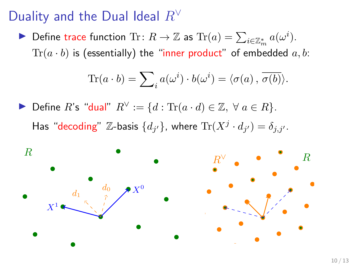Define trace function Tr:  $R \to \mathbb{Z}$  as  $\text{Tr}(a) = \sum_{i \in \mathbb{Z}_m^*} a(\omega^i)$ .  $Tr(a \cdot b)$  is (essentially) the "inner product" of embedded  $a, b$ :

$$
\text{Tr}(a \cdot b) = \sum_{i} a(\omega^{i}) \cdot b(\omega^{i}) = \langle \sigma(a), \overline{\sigma(b)} \rangle.
$$

Define R's "dual"  $R^{\vee} := \{d : \text{Tr}(a \cdot d) \in \mathbb{Z}, \forall a \in R\}.$ Has "decoding"  $\mathbb{Z}$ -basis  $\{d_{j'}\}$ , where  $\text{Tr}(X^j \cdot d_{j'}) = \delta_{j,j'}.$ 

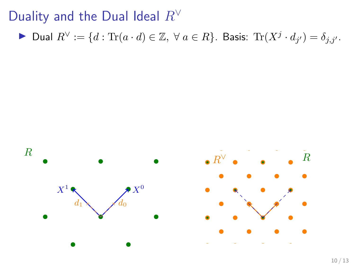▶ Dual  $R^{\vee} := \{ d : \text{Tr}(a \cdot d) \in \mathbb{Z}, \ \forall \ a \in R \}.$  Basis:  $\text{Tr}(X^j \cdot d_{j'}) = \delta_{j,j'}.$ 

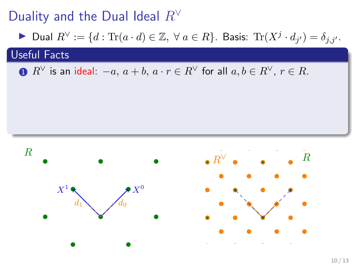▶ Dual  $R^{\vee} := \{ d : \text{Tr}(a \cdot d) \in \mathbb{Z}, \ \forall \ a \in R \}.$  Basis:  $\text{Tr}(X^j \cdot d_{j'}) = \delta_{j,j'}.$ 

### Useful Facts

**1**  $R^{\vee}$  is an ideal:  $-a, a + b, a \cdot r \in R^{\vee}$  for all  $a, b \in R^{\vee}$ ,  $r \in R$ .

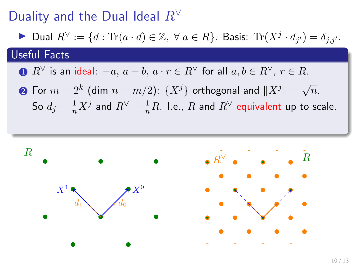▶ Dual  $R^{\vee} := \{ d : \text{Tr}(a \cdot d) \in \mathbb{Z}, \ \forall \ a \in R \}.$  Basis:  $\text{Tr}(X^j \cdot d_{j'}) = \delta_{j,j'}.$ 

### Useful Facts

**1**  $R^{\vee}$  is an ideal:  $-a, a + b, a \cdot r \in R^{\vee}$  for all  $a, b \in R^{\vee}$ ,  $r \in R$ .

• For 
$$
m = 2^k
$$
 (dim  $n = m/2$ ):  $\{X^j\}$  orthogonal and  $||X^j|| = \sqrt{n}$ .  
So  $d_j = \frac{1}{n}X^j$  and  $R^{\vee} = \frac{1}{n}R$ . I.e., R and  $R^{\vee}$  equivalent up to scale.

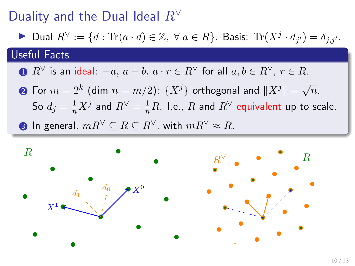▶ Dual  $R^{\vee} := \{ d : \text{Tr}(a \cdot d) \in \mathbb{Z}, \ \forall \ a \in R \}.$  Basis:  $\text{Tr}(X^j \cdot d_{j'}) = \delta_{j,j'}.$ 

#### Useful Facts

**1**  $R^{\vee}$  is an ideal:  $-a, a + b, a \cdot r \in R^{\vee}$  for all  $a, b \in R^{\vee}, r \in R$ .

 $\textbf{2}$  For  $m=2^k$  (dim  $n=m/2$ ):  $\{X^j\}$  orthogonal and  $\|X^j\|=\sqrt{n}.$ So  $d_j=\frac{1}{n}X^j$  and  $R^\vee=\frac{1}{n}R$ . I.e.,  $R$  and  $R^\vee$  equivalent up to scale. **3** In general,  $mR^{\vee} \subseteq R \subseteq R^{\vee}$ , with  $mR^{\vee} \approx R$ .

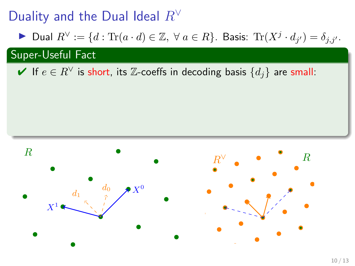▶ Dual  $R^{\vee} := \{ d : \text{Tr}(a \cdot d) \in \mathbb{Z}, \ \forall \ a \in R \}.$  Basis:  $\text{Tr}(X^j \cdot d_{j'}) = \delta_{j,j'}.$ 

Super-Useful Fact

 $\blacktriangleright$  If  $e \in R^{\vee}$  is short, its  $\mathbb{Z}$ -coeffs in decoding basis  $\{d_i\}$  are small:

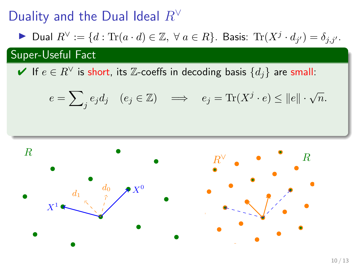▶ Dual  $R^{\vee} := \{ d : \text{Tr}(a \cdot d) \in \mathbb{Z}, \ \forall \ a \in R \}.$  Basis:  $\text{Tr}(X^j \cdot d_{j'}) = \delta_{j,j'}.$ 

### Super-Useful Fact

 $\blacktriangleright$  If  $e \in R^{\vee}$  is short, its  $\mathbb{Z}$ -coeffs in decoding basis  $\{d_i\}$  are small:

$$
e = \sum_{j} e_j d_j \quad (e_j \in \mathbb{Z}) \quad \Longrightarrow \quad e_j = \text{Tr}(X^j \cdot e) \le ||e|| \cdot \sqrt{n}.
$$

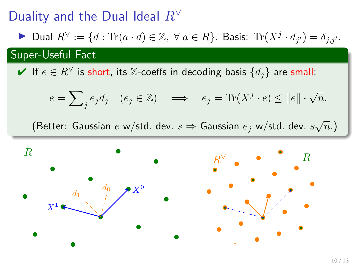▶ Dual  $R^{\vee} := \{ d : \text{Tr}(a \cdot d) \in \mathbb{Z}, \ \forall \ a \in R \}.$  Basis:  $\text{Tr}(X^j \cdot d_{j'}) = \delta_{j,j'}.$ 

Super-Useful Fact

 $\blacktriangleright$  If  $e \in R^{\vee}$  is short, its  $\mathbb{Z}$ -coeffs in decoding basis  $\{d_i\}$  are small:

$$
e = \sum_{j} e_j d_j \quad (e_j \in \mathbb{Z}) \quad \Longrightarrow \quad e_j = \text{Tr}(X^j \cdot e) \le ||e|| \cdot \sqrt{n}.
$$

(Better: Gaussian  $e$  w/std. dev.  $s \Rightarrow$  Gaussian  $e_j$  w/std. dev.  $s\sqrt{n}$ .)

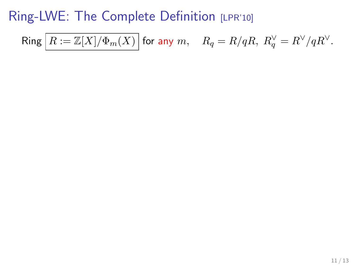$$
\operatorname{Ring} \Big[R:=\mathbb{Z}[X]/\Phi_m(X)\Big] \text{ for any } m, \quad R_q=R/qR, \ R_q^\vee=R^\vee/qR^\vee.
$$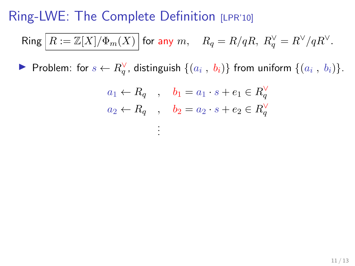$$
\operatorname{Ring} \left[R:=\mathbb{Z}[X]/\Phi_m(X)\right] \text{for any } m, \quad R_q=R/qR, \ R_q^\vee=R^\vee/qR^\vee.
$$

▶ Problem: for  $s \leftarrow R_q^{\vee}$ , distinguish  $\{(a_i, b_i)\}\$  from uniform  $\{(a_i, b_i)\}\$ .

. . .

$$
a_1 \leftarrow R_q \quad , \quad b_1 = a_1 \cdot s + e_1 \in R_q^{\vee}
$$

$$
a_2 \leftarrow R_q \quad , \quad b_2 = a_2 \cdot s + e_2 \in R_q^{\vee}
$$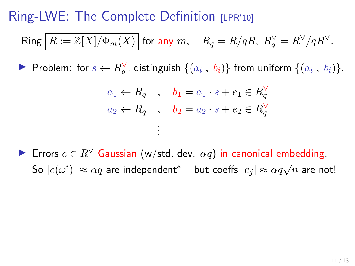$$
\mathsf{Ring}\left[R:=\mathbb{Z}[X]/\Phi_m(X)\right]\text{ for any }m,\quad R_q=R/qR,\;R_q^\vee=R^\vee/qR^\vee.
$$

▶ Problem: for  $s \leftarrow R_q^{\vee}$ , distinguish  $\{(a_i, b_i)\}\$  from uniform  $\{(a_i, b_i)\}\$ .

$$
a_1 \leftarrow R_q \quad , \quad b_1 = a_1 \cdot s + e_1 \in R_q^{\vee}
$$
  

$$
a_2 \leftarrow R_q \quad , \quad b_2 = a_2 \cdot s + e_2 \in R_q^{\vee}
$$
  

$$
\vdots
$$

► Errors  $e \in R^{\vee}$  Gaussian (w/std. dev.  $\alpha q$ ) in canonical embedding. So  $|e(\omega^i)| \approx \alpha q$  are independent<sup>\*</sup> – but coeffs  $|e_j| \approx \alpha q \sqrt{n}$  are not!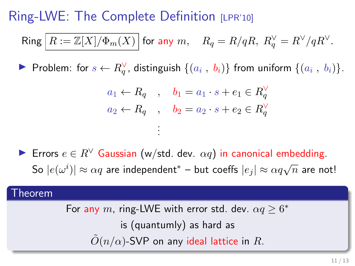$$
\mathsf{Ring}\left[R:=\mathbb{Z}[X]/\Phi_m(X)\right]\text{ for any }m,\quad R_q=R/qR,\;R_q^\vee=R^\vee/qR^\vee.
$$

▶ Problem: for  $s \leftarrow R_q^{\vee}$ , distinguish  $\{(a_i, b_i)\}\$  from uniform  $\{(a_i, b_i)\}\$ .

$$
a_1 \leftarrow R_q \quad , \quad b_1 = a_1 \cdot s + e_1 \in R_q^{\vee}
$$
  

$$
a_2 \leftarrow R_q \quad , \quad b_2 = a_2 \cdot s + e_2 \in R_q^{\vee}
$$
  

$$
\vdots
$$

**►** Errors  $e \in R^{\vee}$  Gaussian (w/std. dev.  $\alpha q$ ) in canonical embedding. So  $|e(\omega^i)| \approx \alpha q$  are independent<sup>\*</sup> – but coeffs  $|e_j| \approx \alpha q \sqrt{n}$  are not!

#### Theorem

For any m, ring-LWE with error std. dev.  $\alpha q \geq 6^*$ is (quantumly) as hard as  $\tilde{O}(n/\alpha)$ -SVP on any ideal lattice in R.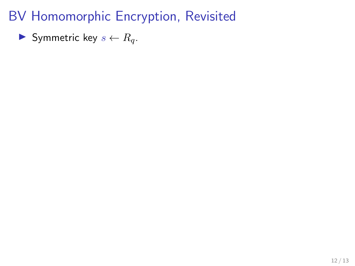Symmetric key  $s \leftarrow R_q$ .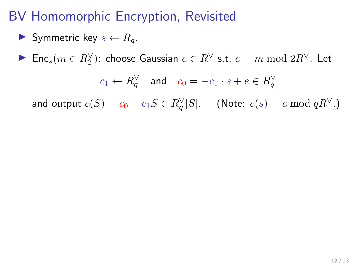$$
\blacktriangleright \text{ Symmetric key } s \leftarrow R_q.
$$

► Enc $_s(m \in R_2^{\vee})$ : choose Gaussian  $e \in R^{\vee}$  s.t.  $e = m \bmod 2R^{\vee}$ . Let

$$
c_1 \leftarrow R_q^{\vee} \quad \text{and} \quad c_0 = -c_1 \cdot s + e \in R_q^{\vee}
$$

and output  $c(S) = c_0 + c_1 S \in R_q^{\vee}[S]$ . (Note:  $c(s) = e \bmod q R^{\vee}$ .)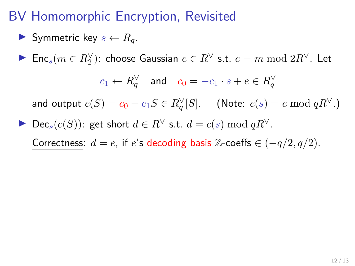$$
\blacktriangleright \text{ Symmetric key } s \leftarrow R_q.
$$

► Enc $_s(m \in R_2^{\vee})$ : choose Gaussian  $e \in R^{\vee}$  s.t.  $e = m \bmod 2R^{\vee}$ . Let

$$
c_1 \leftarrow R_q^{\vee} \quad \text{and} \quad c_0 = -c_1 \cdot s + e \in R_q^{\vee}
$$

and output  $c(S) = c_0 + c_1 S \in R_q^{\vee}[S]$ . (Note:  $c(s) = e \bmod q R^{\vee}$ .)

Dec<sub>s</sub>(c(S)): get short  $d \in R^{\vee}$  s.t.  $d = c(s) \bmod qR^{\vee}$ .

Correctness:  $d = e$ , if  $e$ 's decoding basis Z-coeffs  $\in (-q/2, q/2)$ .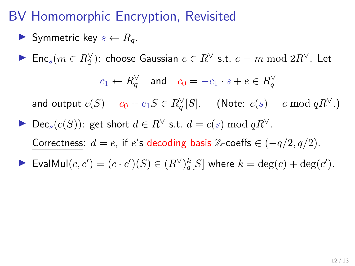$$
\blacktriangleright \text{ Symmetric key } s \leftarrow R_q.
$$

► Enc $_s(m \in R_2^{\vee})$ : choose Gaussian  $e \in R^{\vee}$  s.t.  $e = m \bmod 2R^{\vee}$ . Let

$$
c_1 \leftarrow R_q^{\vee} \quad \text{and} \quad c_0 = -c_1 \cdot s + e \in R_q^{\vee}
$$

and output  $c(S) = c_0 + c_1 S \in R_q^{\vee}[S]$ . (Note:  $c(s) = e \bmod q R^{\vee}$ .)

Dec<sub>s</sub>(c(S)): get short  $d \in R^{\vee}$  s.t.  $d = c(s) \bmod qR^{\vee}$ . Correctness:  $d = e$ , if  $e'$ s decoding basis Z-coeffs  $\in (-q/2, q/2)$ . ▶ EvalMul $(c, c') = (c \cdot c')(S) \in (R^{\vee})_q^k[S]$  where  $k = \deg(c) + \deg(c')$ .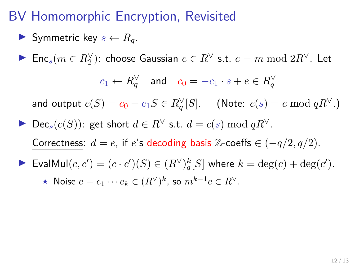# BV Homomorphic Encryption, Revisited

$$
\blacktriangleright \text{ Symmetric key } s \leftarrow R_q.
$$

► Enc $_s(m \in R_2^{\vee})$ : choose Gaussian  $e \in R^{\vee}$  s.t.  $e = m \bmod 2R^{\vee}$ . Let

$$
c_1 \leftarrow R_q^{\vee} \quad \text{and} \quad c_0 = -c_1 \cdot s + e \in R_q^{\vee}
$$

and output  $c(S) = c_0 + c_1 S \in R_q^{\vee}[S]$ . (Note:  $c(s) = e \bmod q R^{\vee}$ .)

- Dec<sub>s</sub>(c(S)): get short  $d \in R^{\vee}$  s.t.  $d = c(s) \bmod qR^{\vee}$ . Correctness:  $d = e$ , if  $e$ 's decoding basis Z-coeffs  $\in (-q/2, q/2)$ . ▶ EvalMul $(c, c') = (c \cdot c')(S) \in (R^{\vee})_q^k[S]$  where  $k = \deg(c) + \deg(c')$ .
	- ★ Noise  $e = e_1 \cdots e_k \in (R^{\vee})^k$ , so  $m^{k-1}e \in R^{\vee}$ .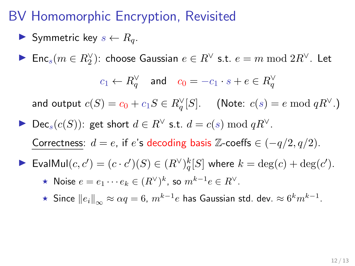# BV Homomorphic Encryption, Revisited

$$
\blacktriangleright \text{ Symmetric key } s \leftarrow R_q.
$$

► Enc $_s(m \in R_2^{\vee})$ : choose Gaussian  $e \in R^{\vee}$  s.t.  $e = m \bmod 2R^{\vee}$ . Let

$$
c_1 \leftarrow R_q^{\vee} \quad \text{and} \quad c_0 = -c_1 \cdot s + e \in R_q^{\vee}
$$

and output  $c(S) = c_0 + c_1 S \in R_q^{\vee}[S]$ . (Note:  $c(s) = e \bmod q R^{\vee}$ .)

Dec<sub>s</sub>(c(S)): get short  $d \in R^{\vee}$  s.t.  $d = c(s) \bmod qR^{\vee}$ . Correctness:  $d = e$ , if  $e$ 's decoding basis Z-coeffs  $\in (-q/2, q/2)$ .

$$
\blacktriangleright \text{EvalMul}(c, c') = (c \cdot c')(S) \in (R^{\vee})_q^k[S] \text{ where } k = \deg(c) + \deg(c').
$$

- ★ Noise  $e = e_1 \cdots e_k \in (R^{\vee})^k$ , so  $m^{k-1}e \in R^{\vee}$ .
- $\star$  Since  $||e_i||_{\infty} \approx \alpha q = 6$ ,  $m^{k-1}e$  has Gaussian std. dev.  $\approx 6^k m^{k-1}$ .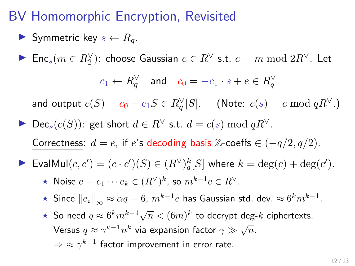# BV Homomorphic Encryption, Revisited

$$
\blacktriangleright \text{ Symmetric key } s \leftarrow R_q.
$$

► Enc $_s(m \in R_2^{\vee})$ : choose Gaussian  $e \in R^{\vee}$  s.t.  $e = m \bmod 2R^{\vee}$ . Let

$$
c_1 \leftarrow R_q^{\vee} \quad \text{and} \quad c_0 = -c_1 \cdot s + e \in R_q^{\vee}
$$

and output  $c(S) = c_0 + c_1 S \in R_q^{\vee}[S]$ . (Note:  $c(s) = e \bmod q R^{\vee}$ .)

- Dec<sub>s</sub>(c(S)): get short  $d \in R^{\vee}$  s.t.  $d = c(s) \bmod qR^{\vee}$ . Correctness:  $d = e$ , if  $e$ 's decoding basis Z-coeffs  $\in (-q/2, q/2)$ .
- ▶ EvalMul $(c, c') = (c \cdot c')(S) \in (R^{\vee})_q^k[S]$  where  $k = \deg(c) + \deg(c')$ .
	- ★ Noise  $e = e_1 \cdots e_k \in (R^{\vee})^k$ , so  $m^{k-1}e \in R^{\vee}$ .
	- $\star$  Since  $||e_i||_{\infty} \approx \alpha q = 6$ ,  $m^{k-1}e$  has Gaussian std. dev.  $\approx 6^k m^{k-1}$ .
	- ★ So need  $q \approx 6^k m^{k-1} \sqrt{n} < (6m)^k$  to decrypt deg- $k$  ciphertexts. Versus  $q \approx \gamma^{k-1} n^k$  via expansion factor  $\gamma \gg \sqrt{n}$ .  $\Rightarrow$   $\approx$   $\gamma^{k-1}$  factor improvement in error rate.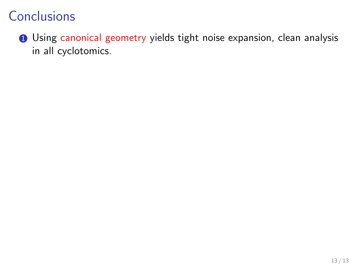**1** Using canonical geometry yields tight noise expansion, clean analysis in all cyclotomics.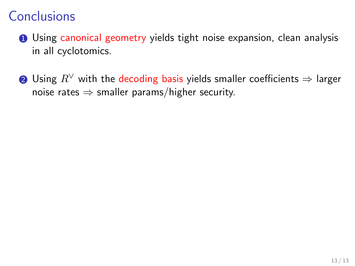- **1** Using canonical geometry yields tight noise expansion, clean analysis in all cyclotomics.
- 2 Using  $R^{\vee}$  with the decoding basis yields smaller coefficients  $\Rightarrow$  larger noise rates  $\Rightarrow$  smaller params/higher security.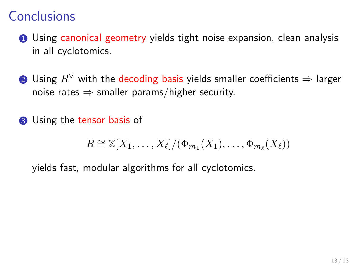- **1** Using canonical geometry yields tight noise expansion, clean analysis in all cyclotomics.
- **②** Using  $R^{\vee}$  with the decoding basis yields smaller coefficients  $\Rightarrow$  larger noise rates  $\Rightarrow$  smaller params/higher security.
- **3** Using the tensor basis of

$$
R \cong \mathbb{Z}[X_1,\ldots,X_\ell]/(\Phi_{m_1}(X_1),\ldots,\Phi_{m_\ell}(X_\ell))
$$

yields fast, modular algorithms for all cyclotomics.